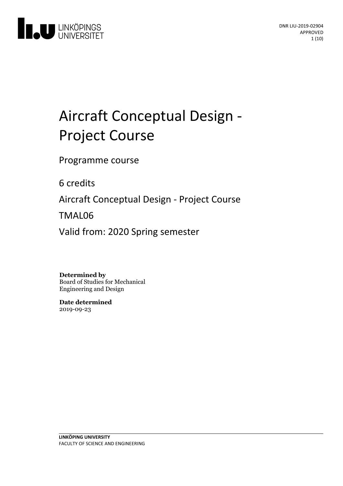

# Aircraft Conceptual Design - Project Course

Programme course

6 credits

Aircraft Conceptual Design - Project Course

TMAL06

Valid from: 2020 Spring semester

**Determined by**

Board of Studies for Mechanical Engineering and Design

**Date determined** 2019-09-23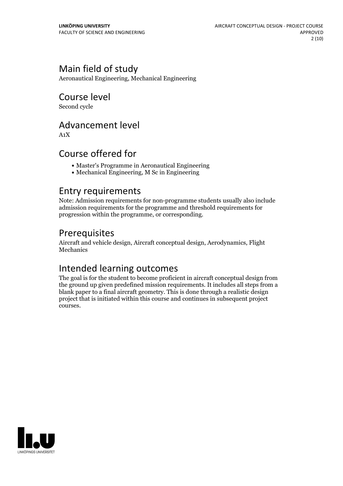# Main field of study

Aeronautical Engineering, Mechanical Engineering

Course level

Second cycle

## Advancement level

A1X

# Course offered for

- Master's Programme in Aeronautical Engineering
- Mechanical Engineering, M Sc in Engineering

## Entry requirements

Note: Admission requirements for non-programme students usually also include admission requirements for the programme and threshold requirements for progression within the programme, or corresponding.

# Prerequisites

Aircraft and vehicle design, Aircraft conceptual design, Aerodynamics, Flight Mechanics

# Intended learning outcomes

The goal is for the student to become proficient in aircraft conceptual design from the ground up given predefined mission requirements. It includes all steps from a blank paper to a final aircraft geometry. This is done through a realistic design project that is initiated within this course and continues in subsequent project courses.

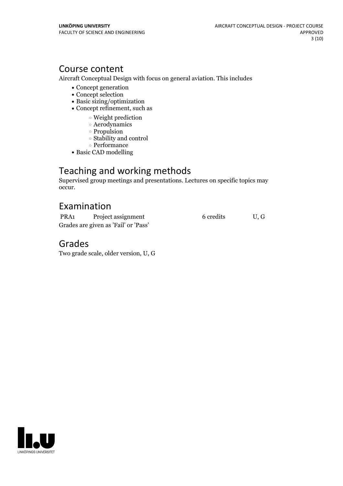# Course content

Aircraft Conceptual Design with focus on general aviation. This includes

- Concept generation
- Concept selection
- Basic sizing/optimization
- Concept refinement, such as
	- Weight prediction
		- Aerodynamics
		- Propulsion
		- Stability and control
		- $\circ$  Performance
- Basic CAD modelling

# Teaching and working methods

Supervised group meetings and presentations. Lectures on specific topics may occur.

# Examination

| PRA <sub>1</sub>                     | Project assignment | 6 credits | U.G |
|--------------------------------------|--------------------|-----------|-----|
| Grades are given as 'Fail' or 'Pass' |                    |           |     |

## Grades

Two grade scale, older version, U, G

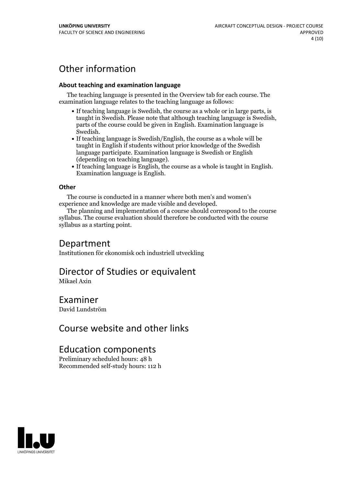# Other information

#### **About teaching and examination language**

The teaching language is presented in the Overview tab for each course. The examination language relates to the teaching language as follows:

- If teaching language is Swedish, the course as a whole or in large parts, is taught in Swedish. Please note that although teaching language is Swedish, parts of the course could be given in English. Examination language is
- Swedish.<br>• If teaching language is Swedish/English, the course as a whole will be taught in English if students without prior knowledge of the Swedish language participate. Examination language is Swedish or English
- $\bullet$  If teaching language is English, the course as a whole is taught in English. Examination language is English.

#### **Other**

The course is conducted in a manner where both men's and women's

experience and knowledge are made visible and developed. The planning and implementation of <sup>a</sup> course should correspond to the course syllabus. The course evaluation should therefore be conducted with the course syllabus as a starting point.

## Department

Institutionen för ekonomisk och industriell utveckling

# Director of Studies or equivalent

Mikael Axin

## Examiner

David Lundström

# Course website and other links

# Education components

Preliminary scheduled hours: 48 h Recommended self-study hours: 112 h

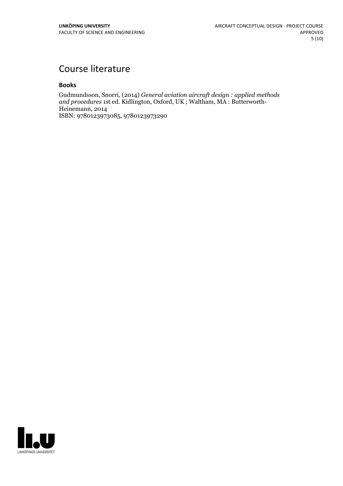# Course literature

#### **Books**

Gudmundsson, Snorri, (2014) *General aviation aircraft design : applied methods and procedures* 1st ed. Kidlington, Oxford, UK ; Waltham, MA : Butterworth- Heinemann, <sup>2014</sup> ISBN: 9780123973085, 9780123973290

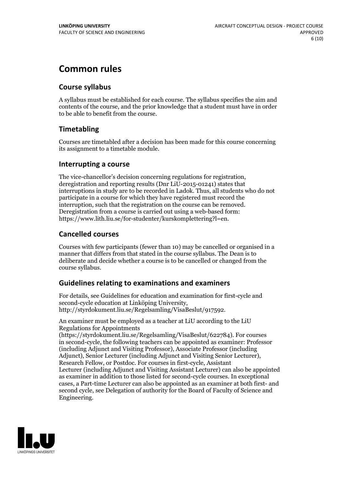# **Common rules**

## **Course syllabus**

A syllabus must be established for each course. The syllabus specifies the aim and contents of the course, and the prior knowledge that a student must have in order to be able to benefit from the course.

## **Timetabling**

Courses are timetabled after a decision has been made for this course concerning its assignment to a timetable module.

### **Interrupting a course**

The vice-chancellor's decision concerning regulations for registration, deregistration and reporting results (Dnr LiU-2015-01241) states that interruptions in study are to be recorded in Ladok. Thus, all students who do not participate in a course for which they have registered must record the interruption, such that the registration on the course can be removed. Deregistration from <sup>a</sup> course is carried outusing <sup>a</sup> web-based form: https://www.lith.liu.se/for-studenter/kurskomplettering?l=en.

## **Cancelled courses**

Courses with few participants (fewer than 10) may be cancelled or organised in a manner that differs from that stated in the course syllabus. The Dean is to deliberate and decide whether a course is to be cancelled or changed from the course syllabus.

## **Guidelines relatingto examinations and examiners**

For details, see Guidelines for education and examination for first-cycle and second-cycle education at Linköping University, http://styrdokument.liu.se/Regelsamling/VisaBeslut/917592.

An examiner must be employed as a teacher at LiU according to the LiU Regulations for Appointments

(https://styrdokument.liu.se/Regelsamling/VisaBeslut/622784). For courses in second-cycle, the following teachers can be appointed as examiner: Professor (including Adjunct and Visiting Professor), Associate Professor (including Adjunct), Senior Lecturer (including Adjunct and Visiting Senior Lecturer), Research Fellow, or Postdoc. For courses in first-cycle, Assistant Lecturer (including Adjunct and Visiting Assistant Lecturer) can also be appointed as examiner in addition to those listed for second-cycle courses. In exceptional cases, a Part-time Lecturer can also be appointed as an examiner at both first- and second cycle, see Delegation of authority for the Board of Faculty of Science and Engineering.

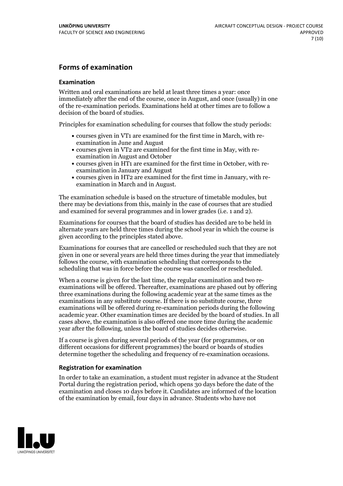## **Forms of examination**

#### **Examination**

Written and oral examinations are held at least three times a year: once immediately after the end of the course, once in August, and once (usually) in one of the re-examination periods. Examinations held at other times are to follow a decision of the board of studies.

Principles for examination scheduling for courses that follow the study periods:

- courses given in VT1 are examined for the first time in March, with re-examination in June and August
- courses given in VT2 are examined for the first time in May, with re-examination in August and October
- courses given in HT1 are examined for the first time in October, with re-examination in January and August
- courses given in HT2 are examined for the first time in January, with re-examination in March and in August.

The examination schedule is based on the structure of timetable modules, but there may be deviations from this, mainly in the case of courses that are studied and examined for several programmes and in lower grades (i.e. 1 and 2).

Examinations for courses that the board of studies has decided are to be held in alternate years are held three times during the school year in which the course is given according to the principles stated above.

Examinations for courses that are cancelled orrescheduled such that they are not given in one or several years are held three times during the year that immediately follows the course, with examination scheduling that corresponds to the scheduling that was in force before the course was cancelled or rescheduled.

When a course is given for the last time, the regular examination and two re-<br>examinations will be offered. Thereafter, examinations are phased out by offering three examinations during the following academic year at the same times as the examinations in any substitute course. If there is no substitute course, three examinations will be offered during re-examination periods during the following academic year. Other examination times are decided by the board of studies. In all cases above, the examination is also offered one more time during the academic year after the following, unless the board of studies decides otherwise.

If a course is given during several periods of the year (for programmes, or on different occasions for different programmes) the board or boards of studies determine together the scheduling and frequency of re-examination occasions.

#### **Registration for examination**

In order to take an examination, a student must register in advance at the Student Portal during the registration period, which opens 30 days before the date of the examination and closes 10 days before it. Candidates are informed of the location of the examination by email, four days in advance. Students who have not

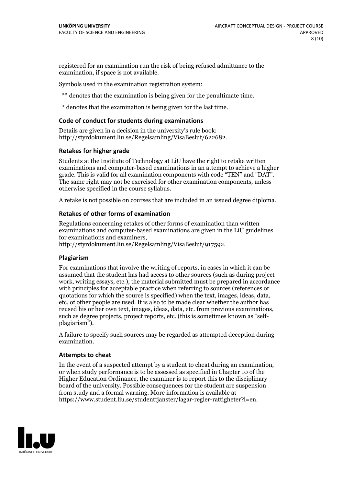registered for an examination run the risk of being refused admittance to the examination, if space is not available.

Symbols used in the examination registration system:

\*\* denotes that the examination is being given for the penultimate time.

\* denotes that the examination is being given for the last time.

#### **Code of conduct for students during examinations**

Details are given in a decision in the university's rule book: http://styrdokument.liu.se/Regelsamling/VisaBeslut/622682.

#### **Retakes for higher grade**

Students at the Institute of Technology at LiU have the right to retake written examinations and computer-based examinations in an attempt to achieve a higher grade. This is valid for all examination components with code "TEN" and "DAT". The same right may not be exercised for other examination components, unless otherwise specified in the course syllabus.

A retake is not possible on courses that are included in an issued degree diploma.

#### **Retakes of other forms of examination**

Regulations concerning retakes of other forms of examination than written examinations and computer-based examinations are given in the LiU guidelines

http://styrdokument.liu.se/Regelsamling/VisaBeslut/917592.

#### **Plagiarism**

For examinations that involve the writing of reports, in cases in which it can be assumed that the student has had access to other sources (such as during project work, writing essays, etc.), the material submitted must be prepared in accordance with principles for acceptable practice when referring to sources (references or quotations for which the source is specified) when the text, images, ideas, data,  $\vec{e}$  etc. of other people are used. It is also to be made clear whether the author has reused his or her own text, images, ideas, data, etc. from previous examinations, such as degree projects, project reports, etc. (this is sometimes known as "self- plagiarism").

A failure to specify such sources may be regarded as attempted deception during examination.

#### **Attempts to cheat**

In the event of <sup>a</sup> suspected attempt by <sup>a</sup> student to cheat during an examination, or when study performance is to be assessed as specified in Chapter <sup>10</sup> of the Higher Education Ordinance, the examiner is to report this to the disciplinary board of the university. Possible consequences for the student are suspension from study and a formal warning. More information is available at https://www.student.liu.se/studenttjanster/lagar-regler-rattigheter?l=en.

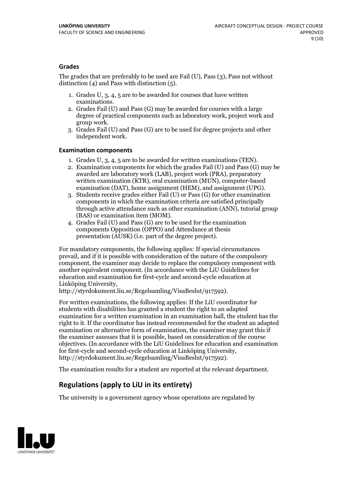#### **Grades**

The grades that are preferably to be used are Fail (U), Pass (3), Pass not without distinction  $(4)$  and Pass with distinction  $(5)$ .

- 1. Grades U, 3, 4, 5 are to be awarded for courses that have written
- examinations. 2. Grades Fail (U) and Pass (G) may be awarded for courses with <sup>a</sup> large degree of practical components such as laboratory work, project work and group work. 3. Grades Fail (U) and Pass (G) are to be used for degree projects and other
- independent work.

#### **Examination components**

- 
- 1. Grades U, 3, 4, <sup>5</sup> are to be awarded for written examinations (TEN). 2. Examination components for which the grades Fail (U) and Pass (G) may be awarded are laboratory work (LAB), project work (PRA), preparatory written examination (KTR), oral examination (MUN), computer-based
- examination (DAT), home assignment (HEM), and assignment (UPG). 3. Students receive grades either Fail (U) or Pass (G) for other examination components in which the examination criteria are satisfied principally through active attendance such as other examination (ANN), tutorial group (BAS) or examination item (MOM). 4. Grades Fail (U) and Pass (G) are to be used for the examination
- components Opposition (OPPO) and Attendance at thesis presentation (AUSK) (i.e. part of the degree project).

For mandatory components, the following applies: If special circumstances prevail, and if it is possible with consideration of the nature of the compulsory component, the examiner may decide to replace the compulsory component with another equivalent component. (In accordance with the LiU Guidelines for education and examination for first-cycle and second-cycle education at Linköping University, http://styrdokument.liu.se/Regelsamling/VisaBeslut/917592).

For written examinations, the following applies: If the LiU coordinator for students with disabilities has granted a student the right to an adapted examination for a written examination in an examination hall, the student has the right to it. If the coordinator has instead recommended for the student an adapted examination or alternative form of examination, the examiner may grant this if the examiner assesses that it is possible, based on consideration of the course objectives. (In accordance with the LiU Guidelines for education and examination for first-cycle and second-cycle education at Linköping University, http://styrdokument.liu.se/Regelsamling/VisaBeslut/917592).

The examination results for a student are reported at the relevant department.

## **Regulations (applyto LiU in its entirety)**

The university is a government agency whose operations are regulated by